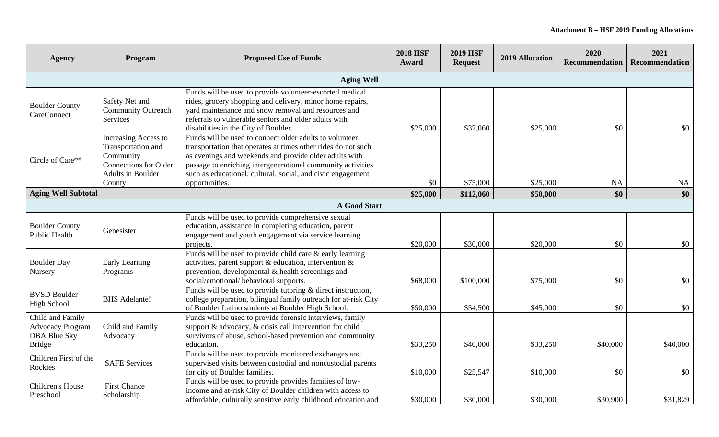| <b>Agency</b>                                                                       | Program                                                                                                                | <b>Proposed Use of Funds</b>                                                                                                                                                                                                                                                                                                       | <b>2018 HSF</b><br>Award | <b>2019 HSF</b><br><b>Request</b> | 2019 Allocation | 2020<br><b>Recommendation</b> | 2021<br>Recommendation |
|-------------------------------------------------------------------------------------|------------------------------------------------------------------------------------------------------------------------|------------------------------------------------------------------------------------------------------------------------------------------------------------------------------------------------------------------------------------------------------------------------------------------------------------------------------------|--------------------------|-----------------------------------|-----------------|-------------------------------|------------------------|
|                                                                                     |                                                                                                                        | <b>Aging Well</b>                                                                                                                                                                                                                                                                                                                  |                          |                                   |                 |                               |                        |
| <b>Boulder County</b><br>CareConnect                                                | Safety Net and<br><b>Community Outreach</b><br>Services                                                                | Funds will be used to provide volunteer-escorted medical<br>rides, grocery shopping and delivery, minor home repairs,<br>yard maintenance and snow removal and resources and<br>referrals to vulnerable seniors and older adults with<br>disabilities in the City of Boulder.                                                      | \$25,000                 | \$37,060                          | \$25,000        | \$0                           | \$0                    |
| Circle of Care**                                                                    | Increasing Access to<br>Transportation and<br>Community<br><b>Connections for Older</b><br>Adults in Boulder<br>County | Funds will be used to connect older adults to volunteer<br>transportation that operates at times other rides do not such<br>as evenings and weekends and provide older adults with<br>passage to enriching intergenerational community activities<br>such as educational, cultural, social, and civic engagement<br>opportunities. | \$0                      | \$75,000                          | \$25,000        | NA                            | NA                     |
| <b>Aging Well Subtotal</b>                                                          |                                                                                                                        |                                                                                                                                                                                                                                                                                                                                    | \$25,000                 | \$112,060                         | \$50,000        | \$0                           | \$0                    |
|                                                                                     |                                                                                                                        | <b>A Good Start</b>                                                                                                                                                                                                                                                                                                                |                          |                                   |                 |                               |                        |
| <b>Boulder County</b><br><b>Public Health</b>                                       | Genesister                                                                                                             | Funds will be used to provide comprehensive sexual<br>education, assistance in completing education, parent<br>engagement and youth engagement via service learning<br>projects.                                                                                                                                                   | \$20,000                 | \$30,000                          | \$20,000        | \$0                           | \$0                    |
| <b>Boulder Day</b><br>Nursery                                                       | Early Learning<br>Programs                                                                                             | Funds will be used to provide child care $&$ early learning<br>activities, parent support $\&$ education, intervention $\&$<br>prevention, developmental $\&$ health screenings and<br>social/emotional/ behavioral supports.                                                                                                      | \$68,000                 | \$100,000                         | \$75,000        | \$0                           | \$0                    |
| <b>BVSD Boulder</b><br><b>High School</b>                                           | <b>BHS</b> Adelante!                                                                                                   | Funds will be used to provide tutoring $&$ direct instruction,<br>college preparation, bilingual family outreach for at-risk City<br>of Boulder Latino students at Boulder High School.                                                                                                                                            | \$50,000                 | \$54,500                          | \$45,000        | \$0                           | \$0                    |
| Child and Family<br><b>Advocacy Program</b><br><b>DBA Blue Sky</b><br><b>Bridge</b> | Child and Family<br>Advocacy                                                                                           | Funds will be used to provide forensic interviews, family<br>support & advocacy, & crisis call intervention for child<br>survivors of abuse, school-based prevention and community<br>education.                                                                                                                                   | \$33,250                 | \$40,000                          | \$33,250        | \$40,000                      | \$40,000               |
| Children First of the<br>Rockies                                                    | <b>SAFE Services</b>                                                                                                   | Funds will be used to provide monitored exchanges and<br>supervised visits between custodial and noncustodial parents<br>for city of Boulder families.                                                                                                                                                                             | \$10,000                 | \$25,547                          | \$10,000        | \$0                           | \$0                    |
| Children's House<br>Preschool                                                       | <b>First Chance</b><br>Scholarship                                                                                     | Funds will be used to provide provides families of low-<br>income and at-risk City of Boulder children with access to<br>affordable, culturally sensitive early childhood education and                                                                                                                                            | \$30,000                 | \$30,000                          | \$30,000        | \$30,900                      | \$31,829               |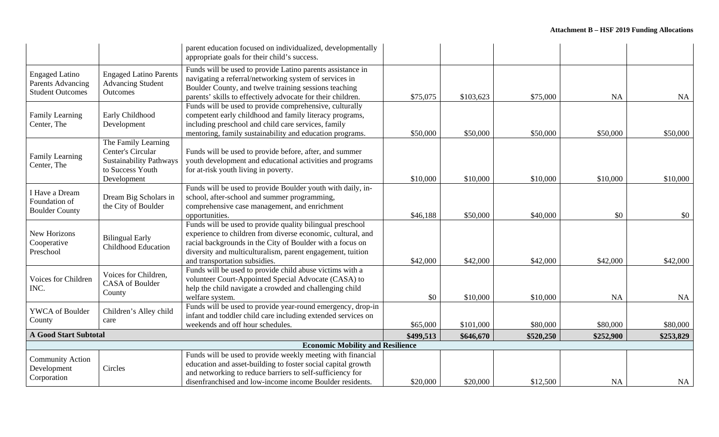|                                                                              |                                                                                                               | parent education focused on individualized, developmentally<br>appropriate goals for their child's success.                                                                                                                                                                          |           |           |           |           |                  |
|------------------------------------------------------------------------------|---------------------------------------------------------------------------------------------------------------|--------------------------------------------------------------------------------------------------------------------------------------------------------------------------------------------------------------------------------------------------------------------------------------|-----------|-----------|-----------|-----------|------------------|
| <b>Engaged Latino</b><br><b>Parents Advancing</b><br><b>Student Outcomes</b> | <b>Engaged Latino Parents</b><br><b>Advancing Student</b><br>Outcomes                                         | Funds will be used to provide Latino parents assistance in<br>navigating a referral/networking system of services in<br>Boulder County, and twelve training sessions teaching<br>parents' skills to effectively advocate for their children.                                         | \$75,075  | \$103,623 | \$75,000  | <b>NA</b> | NA               |
| Family Learning<br>Center, The                                               | Early Childhood<br>Development                                                                                | Funds will be used to provide comprehensive, culturally<br>competent early childhood and family literacy programs,<br>including preschool and child care services, family<br>mentoring, family sustainability and education programs.                                                | \$50,000  | \$50,000  | \$50,000  | \$50,000  | \$50,000         |
| Family Learning<br>Center, The                                               | The Family Learning<br>Center's Circular<br><b>Sustainability Pathways</b><br>to Success Youth<br>Development | Funds will be used to provide before, after, and summer<br>youth development and educational activities and programs<br>for at-risk youth living in poverty.                                                                                                                         | \$10,000  | \$10,000  | \$10,000  | \$10,000  | \$10,000         |
| I Have a Dream<br>Foundation of<br><b>Boulder County</b>                     | Dream Big Scholars in<br>the City of Boulder                                                                  | Funds will be used to provide Boulder youth with daily, in-<br>school, after-school and summer programming,<br>comprehensive case management, and enrichment<br>opportunities.                                                                                                       | \$46,188  | \$50,000  | \$40,000  | \$0       | \$0 <sub>1</sub> |
| New Horizons<br>Cooperative<br>Preschool                                     | <b>Bilingual Early</b><br><b>Childhood Education</b>                                                          | Funds will be used to provide quality bilingual preschool<br>experience to children from diverse economic, cultural, and<br>racial backgrounds in the City of Boulder with a focus on<br>diversity and multiculturalism, parent engagement, tuition<br>and transportation subsidies. | \$42,000  | \$42,000  | \$42,000  | \$42,000  | \$42,000         |
| Voices for Children<br>INC.                                                  | Voices for Children,<br><b>CASA</b> of Boulder<br>County                                                      | Funds will be used to provide child abuse victims with a<br>volunteer Court-Appointed Special Advocate (CASA) to<br>help the child navigate a crowded and challenging child<br>welfare system.                                                                                       | \$0       | \$10,000  | \$10,000  | <b>NA</b> | NA               |
| <b>YWCA</b> of Boulder<br>County                                             | Children's Alley child<br>care                                                                                | Funds will be used to provide year-round emergency, drop-in<br>infant and toddler child care including extended services on<br>weekends and off hour schedules.                                                                                                                      | \$65,000  | \$101,000 | \$80,000  | \$80,000  | \$80,000         |
| <b>A Good Start Subtotal</b>                                                 |                                                                                                               | \$499,513                                                                                                                                                                                                                                                                            | \$646,670 | \$520,250 | \$252,900 | \$253,829 |                  |
|                                                                              |                                                                                                               | <b>Economic Mobility and Resilience</b>                                                                                                                                                                                                                                              |           |           |           |           |                  |
| <b>Community Action</b><br>Development<br>Corporation                        | Circles                                                                                                       | Funds will be used to provide weekly meeting with financial<br>education and asset-building to foster social capital growth<br>and networking to reduce barriers to self-sufficiency for<br>disenfranchised and low-income income Boulder residents.                                 | \$20,000  | \$20,000  | \$12,500  | <b>NA</b> | NA               |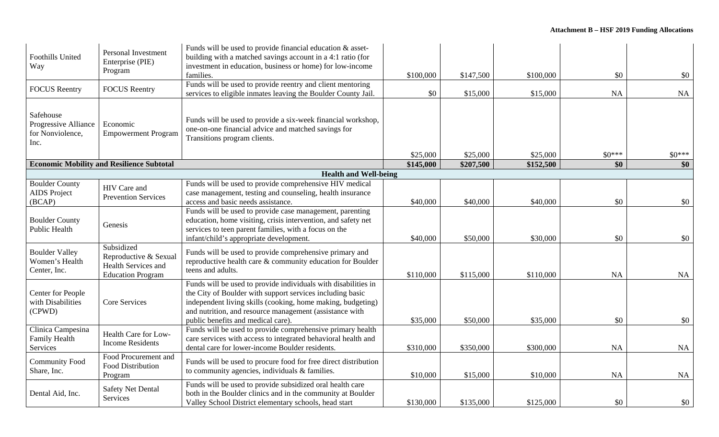| Foothills United<br>Way                                       | <b>Personal Investment</b><br>Enterprise (PIE)<br>Program                              | Funds will be used to provide financial education $\&$ asset-<br>building with a matched savings account in a 4:1 ratio (for<br>investment in education, business or home) for low-income<br>families.                                                                                      | \$100,000             | \$147,500             | \$100,000             | \$0            | \$0            |
|---------------------------------------------------------------|----------------------------------------------------------------------------------------|---------------------------------------------------------------------------------------------------------------------------------------------------------------------------------------------------------------------------------------------------------------------------------------------|-----------------------|-----------------------|-----------------------|----------------|----------------|
| <b>FOCUS</b> Reentry                                          | <b>FOCUS</b> Reentry                                                                   | Funds will be used to provide reentry and client mentoring<br>services to eligible inmates leaving the Boulder County Jail.                                                                                                                                                                 | \$0                   | \$15,000              | \$15,000              | <b>NA</b>      | <b>NA</b>      |
| Safehouse<br>Progressive Alliance<br>for Nonviolence,<br>Inc. | Economic<br><b>Empowerment Program</b>                                                 | Funds will be used to provide a six-week financial workshop,<br>one-on-one financial advice and matched savings for<br>Transitions program clients.                                                                                                                                         |                       |                       |                       |                |                |
|                                                               | <b>Economic Mobility and Resilience Subtotal</b>                                       |                                                                                                                                                                                                                                                                                             | \$25,000<br>\$145,000 | \$25,000<br>\$207,500 | \$25,000<br>\$152,500 | $$0***$<br>\$0 | $$0***$<br>\$0 |
|                                                               |                                                                                        | <b>Health and Well-being</b>                                                                                                                                                                                                                                                                |                       |                       |                       |                |                |
| <b>Boulder County</b><br><b>AIDS</b> Project<br>(BCAP)        | HIV Care and<br><b>Prevention Services</b>                                             | Funds will be used to provide comprehensive HIV medical<br>case management, testing and counseling, health insurance<br>access and basic needs assistance.                                                                                                                                  | \$40,000              | \$40,000              | \$40,000              | \$0            | \$0            |
| <b>Boulder County</b><br><b>Public Health</b>                 | Genesis                                                                                | Funds will be used to provide case management, parenting<br>education, home visiting, crisis intervention, and safety net<br>services to teen parent families, with a focus on the<br>infant/child's appropriate development.                                                               | \$40,000              | \$50,000              | \$30,000              | \$0            | \$0            |
| <b>Boulder Valley</b><br>Women's Health<br>Center, Inc.       | Subsidized<br>Reproductive & Sexual<br>Health Services and<br><b>Education Program</b> | Funds will be used to provide comprehensive primary and<br>reproductive health care $\&$ community education for Boulder<br>teens and adults.                                                                                                                                               | \$110,000             | \$115,000             | \$110,000             | <b>NA</b>      | NA             |
| <b>Center for People</b><br>with Disabilities<br>(CPWD)       | Core Services                                                                          | Funds will be used to provide individuals with disabilities in<br>the City of Boulder with support services including basic<br>independent living skills (cooking, home making, budgeting)<br>and nutrition, and resource management (assistance with<br>public benefits and medical care). | \$35,000              | \$50,000              | \$35,000              | \$0            | \$0            |
| Clinica Campesina<br>Family Health<br>Services                | Health Care for Low-<br><b>Income Residents</b>                                        | Funds will be used to provide comprehensive primary health<br>care services with access to integrated behavioral health and<br>dental care for lower-income Boulder residents.                                                                                                              | \$310,000             | \$350,000             | \$300,000             | <b>NA</b>      | <b>NA</b>      |
| <b>Community Food</b><br>Share, Inc.                          | Food Procurement and<br>Food Distribution<br>Program                                   | Funds will be used to procure food for free direct distribution<br>to community agencies, individuals & families.                                                                                                                                                                           | \$10,000              | \$15,000              | \$10,000              | <b>NA</b>      | <b>NA</b>      |
| Dental Aid, Inc.                                              | <b>Safety Net Dental</b><br>Services                                                   | Funds will be used to provide subsidized oral health care<br>both in the Boulder clinics and in the community at Boulder<br>Valley School District elementary schools, head start                                                                                                           | \$130,000             | \$135,000             | \$125,000             | \$0            | \$0            |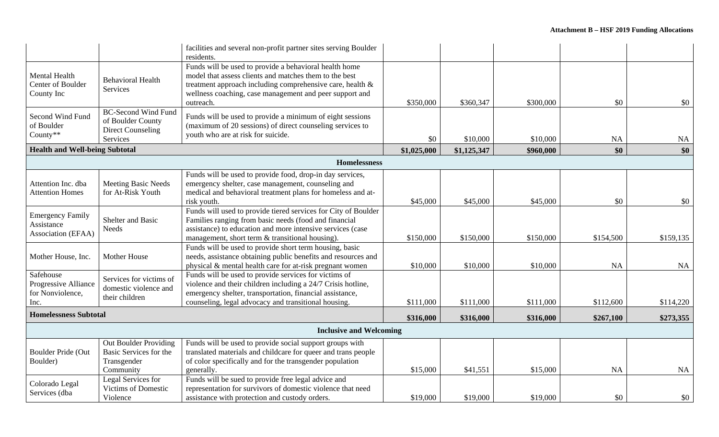|                                                               |                                                                                         | facilities and several non-profit partner sites serving Boulder<br>residents.                                                                                                                                                                         |             |             |           |           |           |
|---------------------------------------------------------------|-----------------------------------------------------------------------------------------|-------------------------------------------------------------------------------------------------------------------------------------------------------------------------------------------------------------------------------------------------------|-------------|-------------|-----------|-----------|-----------|
| <b>Mental Health</b><br>Center of Boulder<br>County Inc       | <b>Behavioral Health</b><br>Services                                                    | Funds will be used to provide a behavioral health home<br>model that assess clients and matches them to the best<br>treatment approach including comprehensive care, health &<br>wellness coaching, case management and peer support and<br>outreach. | \$350,000   | \$360,347   | \$300,000 | \$0       | \$0       |
| Second Wind Fund<br>of Boulder<br>County**                    | <b>BC-Second Wind Fund</b><br>of Boulder County<br><b>Direct Counseling</b><br>Services | Funds will be used to provide a minimum of eight sessions<br>(maximum of 20 sessions) of direct counseling services to<br>youth who are at risk for suicide.                                                                                          | \$0         | \$10,000    | \$10,000  | NA        | NA        |
| <b>Health and Well-being Subtotal</b>                         |                                                                                         |                                                                                                                                                                                                                                                       | \$1,025,000 | \$1,125,347 | \$960,000 | \$0       | \$0       |
|                                                               |                                                                                         | <b>Homelessness</b>                                                                                                                                                                                                                                   |             |             |           |           |           |
| Attention Inc. dba<br><b>Attention Homes</b>                  | <b>Meeting Basic Needs</b><br>for At-Risk Youth                                         | Funds will be used to provide food, drop-in day services,<br>emergency shelter, case management, counseling and<br>medical and behavioral treatment plans for homeless and at-<br>risk youth.                                                         | \$45,000    | \$45,000    | \$45,000  | \$0       | \$0       |
| <b>Emergency Family</b><br>Assistance<br>Association (EFAA)   | Shelter and Basic<br><b>Needs</b>                                                       | Funds will used to provide tiered services for City of Boulder<br>Families ranging from basic needs (food and financial<br>assistance) to education and more intensive services (case<br>management, short term & transitional housing).              | \$150,000   | \$150,000   | \$150,000 | \$154,500 | \$159,135 |
| Mother House, Inc.                                            | <b>Mother House</b>                                                                     | Funds will be used to provide short term housing, basic<br>needs, assistance obtaining public benefits and resources and<br>physical & mental health care for at-risk pregnant women                                                                  | \$10,000    | \$10,000    | \$10,000  | <b>NA</b> | NA        |
| Safehouse<br>Progressive Alliance<br>for Nonviolence,<br>Inc. | Services for victims of<br>domestic violence and<br>their children                      | Funds will be used to provide services for victims of<br>violence and their children including a 24/7 Crisis hotline,<br>emergency shelter, transportation, financial assistance,<br>counseling, legal advocacy and transitional housing.             | \$111,000   | \$111,000   | \$111,000 | \$112,600 | \$114,220 |
| <b>Homelessness Subtotal</b>                                  |                                                                                         |                                                                                                                                                                                                                                                       | \$316,000   | \$316,000   | \$316,000 | \$267,100 | \$273,355 |
|                                                               |                                                                                         | <b>Inclusive and Welcoming</b>                                                                                                                                                                                                                        |             |             |           |           |           |
| Boulder Pride (Out<br>Boulder)                                | Out Boulder Providing<br>Basic Services for the<br>Transgender<br>Community             | Funds will be used to provide social support groups with<br>translated materials and childcare for queer and trans people<br>of color specifically and for the transgender population<br>generally.                                                   | \$15,000    | \$41,551    | \$15,000  | <b>NA</b> | NA        |
| Colorado Legal<br>Services (dba                               | Legal Services for<br><b>Victims of Domestic</b><br>Violence                            | Funds will be sued to provide free legal advice and<br>representation for survivors of domestic violence that need<br>assistance with protection and custody orders.                                                                                  | \$19,000    | \$19,000    | \$19,000  | \$0       | \$0       |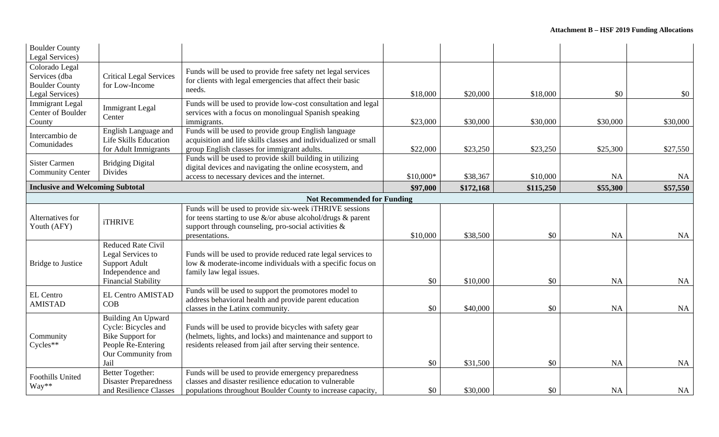| <b>Boulder County</b>                                                       |                                                                                                                                 |                                                                                                                                                                                                       |            |           |           |           |           |
|-----------------------------------------------------------------------------|---------------------------------------------------------------------------------------------------------------------------------|-------------------------------------------------------------------------------------------------------------------------------------------------------------------------------------------------------|------------|-----------|-----------|-----------|-----------|
| Legal Services)                                                             |                                                                                                                                 |                                                                                                                                                                                                       |            |           |           |           |           |
| Colorado Legal<br>Services (dba<br><b>Boulder County</b><br>Legal Services) | <b>Critical Legal Services</b><br>for Low-Income                                                                                | Funds will be used to provide free safety net legal services<br>for clients with legal emergencies that affect their basic<br>needs.                                                                  | \$18,000   | \$20,000  | \$18,000  | \$0       | \$0       |
| <b>Immigrant Legal</b><br>Center of Boulder<br>County                       | <b>Immigrant</b> Legal<br>Center                                                                                                | Funds will be used to provide low-cost consultation and legal<br>services with a focus on monolingual Spanish speaking<br>immigrants.                                                                 | \$23,000   | \$30,000  | \$30,000  | \$30,000  | \$30,000  |
| Intercambio de<br>Comunidades                                               | English Language and<br>Life Skills Education<br>for Adult Immigrants                                                           | Funds will be used to provide group English language<br>acquisition and life skills classes and individualized or small<br>group English classes for immigrant adults.                                | \$22,000   | \$23,250  | \$23,250  | \$25,300  | \$27,550  |
| <b>Sister Carmen</b><br><b>Community Center</b>                             | <b>Bridging Digital</b><br>Divides                                                                                              | Funds will be used to provide skill building in utilizing<br>digital devices and navigating the online ecosystem, and<br>access to necessary devices and the internet.                                | $$10,000*$ | \$38,367  | \$10,000  | NA        | <b>NA</b> |
|                                                                             | <b>Inclusive and Welcoming Subtotal</b>                                                                                         |                                                                                                                                                                                                       |            | \$172,168 | \$115,250 | \$55,300  | \$57,550  |
|                                                                             |                                                                                                                                 | <b>Not Recommended for Funding</b>                                                                                                                                                                    |            |           |           |           |           |
| Alternatives for<br>Youth (AFY)                                             | <b>iTHRIVE</b>                                                                                                                  | Funds will be used to provide six-week iTHRIVE sessions<br>for teens starting to use $\&$ /or abuse alcohol/drugs $&$ parent<br>support through counseling, pro-social activities &<br>presentations. | \$10,000   | \$38,500  | \$0       | <b>NA</b> | <b>NA</b> |
| <b>Bridge to Justice</b>                                                    | <b>Reduced Rate Civil</b><br>Legal Services to<br><b>Support Adult</b><br>Independence and<br><b>Financial Stability</b>        | Funds will be used to provide reduced rate legal services to<br>low & moderate-income individuals with a specific focus on<br>family law legal issues.                                                | \$0        | \$10,000  | \$0       | <b>NA</b> | <b>NA</b> |
| <b>EL Centro</b><br><b>AMISTAD</b>                                          | <b>EL Centro AMISTAD</b><br>COB                                                                                                 | Funds will be used to support the promotores model to<br>address behavioral health and provide parent education<br>classes in the Latinx community.                                                   | \$0        | \$40,000  | \$0       | <b>NA</b> | <b>NA</b> |
| Community<br>Cycles**                                                       | <b>Building An Upward</b><br>Cycle: Bicycles and<br><b>Bike Support for</b><br>People Re-Entering<br>Our Community from<br>Jail | Funds will be used to provide bicycles with safety gear<br>(helmets, lights, and locks) and maintenance and support to<br>residents released from jail after serving their sentence.                  | \$0        | \$31,500  | \$0       | <b>NA</b> | <b>NA</b> |
| <b>Foothills United</b><br>Way**                                            | <b>Better Together:</b><br><b>Disaster Preparedness</b><br>and Resilience Classes                                               | Funds will be used to provide emergency preparedness<br>classes and disaster resilience education to vulnerable<br>populations throughout Boulder County to increase capacity,                        | \$0        | \$30,000  | \$0       | <b>NA</b> | NA        |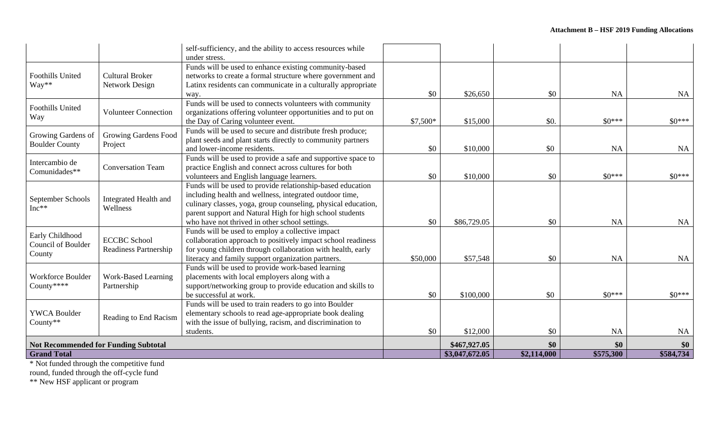|                                                                                                                                                                                                                                                                                                         |                                   | self-sufficiency, and the ability to access resources while<br>under stress.                                         |           |                |                                                                                                                                                                                    |           |           |
|---------------------------------------------------------------------------------------------------------------------------------------------------------------------------------------------------------------------------------------------------------------------------------------------------------|-----------------------------------|----------------------------------------------------------------------------------------------------------------------|-----------|----------------|------------------------------------------------------------------------------------------------------------------------------------------------------------------------------------|-----------|-----------|
|                                                                                                                                                                                                                                                                                                         | <b>Cultural Broker</b>            | Funds will be used to enhance existing community-based<br>networks to create a formal structure where government and |           |                |                                                                                                                                                                                    |           |           |
| Way**                                                                                                                                                                                                                                                                                                   | Network Design                    | Latinx residents can communicate in a culturally appropriate                                                         |           |                |                                                                                                                                                                                    |           |           |
|                                                                                                                                                                                                                                                                                                         |                                   | way.                                                                                                                 | \$0       | \$26,650       | \$0                                                                                                                                                                                | <b>NA</b> | NA        |
|                                                                                                                                                                                                                                                                                                         |                                   | Funds will be used to connects volunteers with community                                                             |           |                |                                                                                                                                                                                    |           |           |
|                                                                                                                                                                                                                                                                                                         | <b>Volunteer Connection</b>       | organizations offering volunteer opportunities and to put on                                                         |           |                |                                                                                                                                                                                    |           |           |
| <b>Foothills United</b><br><b>Foothills United</b><br>Way<br>Growing Gardens of<br><b>Boulder County</b><br>Intercambio de<br>Comunidades**<br>September Schools<br>$Inc**$<br>Early Childhood<br>Council of Boulder<br>County<br>Workforce Boulder<br>County****<br><b>YWCA Boulder</b><br>County $**$ |                                   | the Day of Caring volunteer event.                                                                                   | $$7,500*$ |                |                                                                                                                                                                                    | $$0***$   | $$0***$   |
|                                                                                                                                                                                                                                                                                                         | Growing Gardens Food              | Funds will be used to secure and distribute fresh produce;                                                           |           |                |                                                                                                                                                                                    |           |           |
|                                                                                                                                                                                                                                                                                                         | Project                           | plant seeds and plant starts directly to community partners                                                          |           |                |                                                                                                                                                                                    |           |           |
|                                                                                                                                                                                                                                                                                                         |                                   | and lower-income residents.                                                                                          | \$0       |                | \$0.<br>\$15,000<br>\$0<br>\$10,000<br>$$0***$<br>\$10,000<br>\$0<br>\$86,729.05<br>\$0<br>\$57,548<br>\$0<br>$$0***$<br>\$100,000<br>\$0<br>\$12,000<br>\$0<br>\$0<br>\$2,114,000 | <b>NA</b> | <b>NA</b> |
|                                                                                                                                                                                                                                                                                                         |                                   | Funds will be used to provide a safe and supportive space to                                                         |           |                |                                                                                                                                                                                    |           |           |
|                                                                                                                                                                                                                                                                                                         | <b>Conversation Team</b>          | practice English and connect across cultures for both                                                                |           |                |                                                                                                                                                                                    |           |           |
|                                                                                                                                                                                                                                                                                                         | Integrated Health and<br>Wellness | volunteers and English language learners.                                                                            | \$0       |                |                                                                                                                                                                                    |           | $$0***$   |
|                                                                                                                                                                                                                                                                                                         |                                   | Funds will be used to provide relationship-based education                                                           |           |                |                                                                                                                                                                                    |           |           |
|                                                                                                                                                                                                                                                                                                         |                                   | including health and wellness, integrated outdoor time,                                                              |           |                |                                                                                                                                                                                    |           |           |
|                                                                                                                                                                                                                                                                                                         |                                   | culinary classes, yoga, group counseling, physical education,                                                        |           |                |                                                                                                                                                                                    |           |           |
|                                                                                                                                                                                                                                                                                                         |                                   | parent support and Natural High for high school students                                                             |           |                |                                                                                                                                                                                    |           |           |
|                                                                                                                                                                                                                                                                                                         |                                   | who have not thrived in other school settings.                                                                       | \$0       |                |                                                                                                                                                                                    | <b>NA</b> | <b>NA</b> |
|                                                                                                                                                                                                                                                                                                         |                                   | Funds will be used to employ a collective impact                                                                     |           |                |                                                                                                                                                                                    |           |           |
|                                                                                                                                                                                                                                                                                                         | <b>ECCBC School</b>               | collaboration approach to positively impact school readiness                                                         |           |                |                                                                                                                                                                                    |           |           |
|                                                                                                                                                                                                                                                                                                         | Readiness Partnership             | for young children through collaboration with health, early                                                          |           |                |                                                                                                                                                                                    |           |           |
|                                                                                                                                                                                                                                                                                                         |                                   | literacy and family support organization partners.                                                                   | \$50,000  |                |                                                                                                                                                                                    | <b>NA</b> | <b>NA</b> |
|                                                                                                                                                                                                                                                                                                         |                                   | Funds will be used to provide work-based learning                                                                    |           |                |                                                                                                                                                                                    |           |           |
|                                                                                                                                                                                                                                                                                                         | <b>Work-Based Learning</b>        | placements with local employers along with a                                                                         |           |                |                                                                                                                                                                                    |           |           |
|                                                                                                                                                                                                                                                                                                         | Partnership                       | support/networking group to provide education and skills to                                                          |           |                |                                                                                                                                                                                    |           |           |
|                                                                                                                                                                                                                                                                                                         |                                   | be successful at work.                                                                                               | \$0       |                |                                                                                                                                                                                    |           | $$0***$   |
|                                                                                                                                                                                                                                                                                                         |                                   | Funds will be used to train readers to go into Boulder                                                               |           |                |                                                                                                                                                                                    |           |           |
|                                                                                                                                                                                                                                                                                                         | Reading to End Racism             | elementary schools to read age-appropriate book dealing                                                              |           |                |                                                                                                                                                                                    |           |           |
|                                                                                                                                                                                                                                                                                                         |                                   | with the issue of bullying, racism, and discrimination to                                                            |           |                |                                                                                                                                                                                    |           |           |
|                                                                                                                                                                                                                                                                                                         |                                   | students.                                                                                                            | \$0       |                |                                                                                                                                                                                    | NA        | <b>NA</b> |
| <b>Not Recommended for Funding Subtotal</b>                                                                                                                                                                                                                                                             |                                   |                                                                                                                      |           | \$467,927.05   |                                                                                                                                                                                    | \$0       | \$0       |
| <b>Grand Total</b>                                                                                                                                                                                                                                                                                      |                                   |                                                                                                                      |           | \$3,047,672.05 |                                                                                                                                                                                    | \$575,300 | \$584,734 |

\* Not funded through the competitive fund

round, funded through the off-cycle fund

\*\* New HSF applicant or program